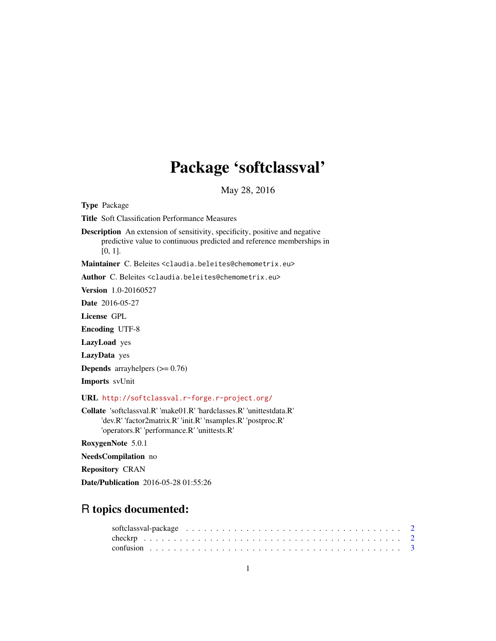# Package 'softclassval'

May 28, 2016

<span id="page-0-0"></span>Type Package

Title Soft Classification Performance Measures

Description An extension of sensitivity, specificity, positive and negative predictive value to continuous predicted and reference memberships in [0, 1].

Maintainer C. Beleites <claudia.beleites@chemometrix.eu>

Author C. Beleites <claudia.beleites@chemometrix.eu>

Version 1.0-20160527

Date 2016-05-27

License GPL

Encoding UTF-8

LazyLoad yes

LazyData yes

**Depends** arrayhelpers  $(>= 0.76)$ 

Imports svUnit

URL <http://softclassval.r-forge.r-project.org/>

Collate 'softclassval.R' 'make01.R' 'hardclasses.R' 'unittestdata.R' 'dev.R' 'factor2matrix.R' 'init.R' 'nsamples.R' 'postproc.R' 'operators.R' 'performance.R' 'unittests.R'

RoxygenNote 5.0.1

NeedsCompilation no

Repository CRAN

Date/Publication 2016-05-28 01:55:26

# R topics documented: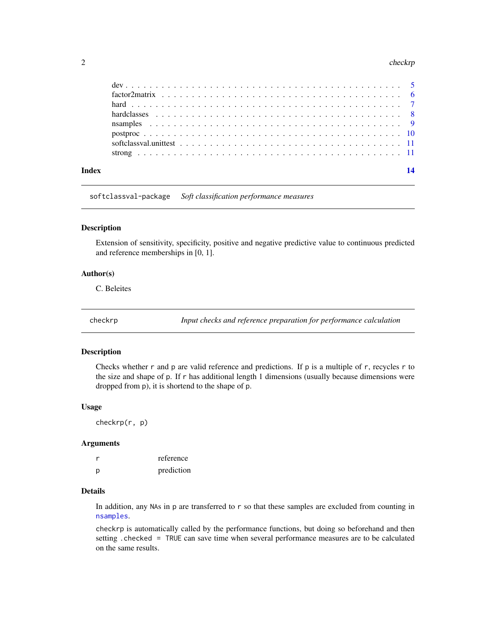#### <span id="page-1-0"></span>2 checkrp check-particle in the checkrp checkrp checkrp checkrp checkrp checkrp checkrp checkrp check-particle in  $\mathcal{L}$

| Index | 14 |
|-------|----|
|       |    |
|       |    |
|       |    |
|       |    |
|       |    |
|       |    |
|       |    |

softclassval-package *Soft classification performance measures*

## Description

Extension of sensitivity, specificity, positive and negative predictive value to continuous predicted and reference memberships in [0, 1].

#### Author(s)

C. Beleites

checkrp *Input checks and reference preparation for performance calculation*

# Description

Checks whether r and p are valid reference and predictions. If p is a multiple of r, recycles r to the size and shape of p. If r has additional length 1 dimensions (usually because dimensions were dropped from p), it is shortend to the shape of p.

#### Usage

checkrp(r, p)

#### Arguments

|   | reference  |
|---|------------|
| p | prediction |

#### Details

In addition, any NAs in p are transferred to r so that these samples are excluded from counting in [nsamples](#page-8-1).

checkrp is automatically called by the performance functions, but doing so beforehand and then setting .checked = TRUE can save time when several performance measures are to be calculated on the same results.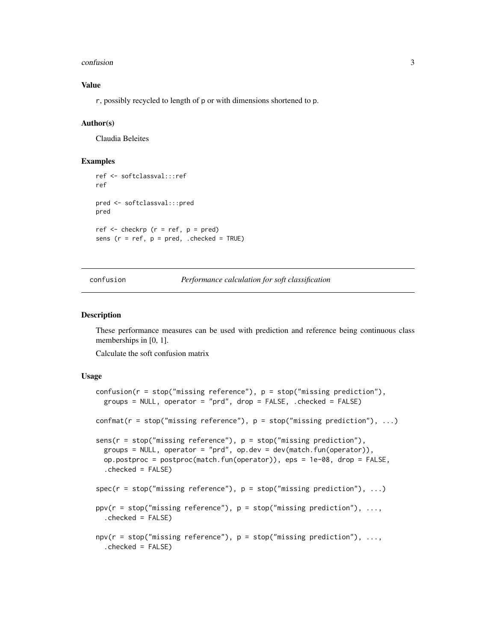#### <span id="page-2-0"></span>confusion 3

# Value

r, possibly recycled to length of p or with dimensions shortened to p.

#### Author(s)

Claudia Beleites

#### Examples

```
ref <- softclassval:::ref
ref
pred <- softclassval:::pred
pred
ref \leq checkrp (r = ref, p = pred)
sens (r = ref, p = pred, .checked = TRUE)
```
confusion *Performance calculation for soft classification*

#### <span id="page-2-1"></span>Description

These performance measures can be used with prediction and reference being continuous class memberships in [0, 1].

Calculate the soft confusion matrix

#### Usage

```
confusion(r = stop("missing reference"), p = stop("missing), p = stop("missing prediction"),groups = NULL, operator = "prd", drop = FALSE, .checked = FALSE)
confmat(r = stop("missing reference"), p = stop("missing prediction"), ...)sens(r = stop("missing reference"), p = stop("missing prediction"),groups = NULL, operator = "prd", op.dev = dev(match.fun(operator)),
  op.postproc = postproc(match.fun(operator)), eps = 1e-08, drop = FALSE,
  .checked = FALSE)
spec(r = stop("missing reference"), p = stop("missing prediction"), ...)ppv(r = stop("missing reference"), p = stop("missing prediction"), ...,.checked = FALSE)
npv(r = stop("missing reference"), p = stop("missing prediction"), ...,.checked = FALSE)
```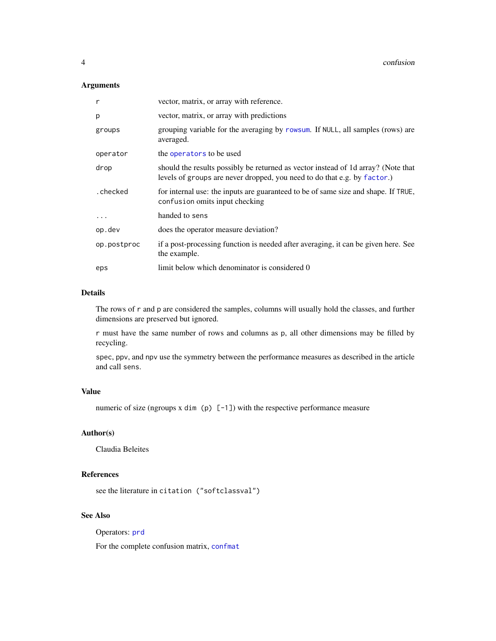# <span id="page-3-0"></span>Arguments

| r           | vector, matrix, or array with reference.                                                                                                                      |
|-------------|---------------------------------------------------------------------------------------------------------------------------------------------------------------|
| p           | vector, matrix, or array with predictions                                                                                                                     |
| groups      | grouping variable for the averaging by rowsum. If NULL, all samples (rows) are<br>averaged.                                                                   |
| operator    | the operators to be used                                                                                                                                      |
| drop        | should the results possibly be returned as vector instead of 1d array? (Note that<br>levels of groups are never dropped, you need to do that e.g. by factor.) |
| .checked    | for internal use: the inputs are guaranteed to be of same size and shape. If TRUE,<br>confusion omits input checking                                          |
| $\ddotsc$   | handed to sens                                                                                                                                                |
| op.dev      | does the operator measure deviation?                                                                                                                          |
| op.postproc | if a post-processing function is needed after averaging, it can be given here. See<br>the example.                                                            |
| eps         | limit below which denominator is considered 0                                                                                                                 |
|             |                                                                                                                                                               |

## Details

The rows of r and p are considered the samples, columns will usually hold the classes, and further dimensions are preserved but ignored.

r must have the same number of rows and columns as p, all other dimensions may be filled by recycling.

spec, ppv, and npv use the symmetry between the performance measures as described in the article and call sens.

# Value

numeric of size (ngroups x dim (p)  $[-1]$ ) with the respective performance measure

# Author(s)

Claudia Beleites

# References

see the literature in citation ("softclassval")

# See Also

Operators: [prd](#page-10-1)

For the complete confusion matrix, [confmat](#page-2-1)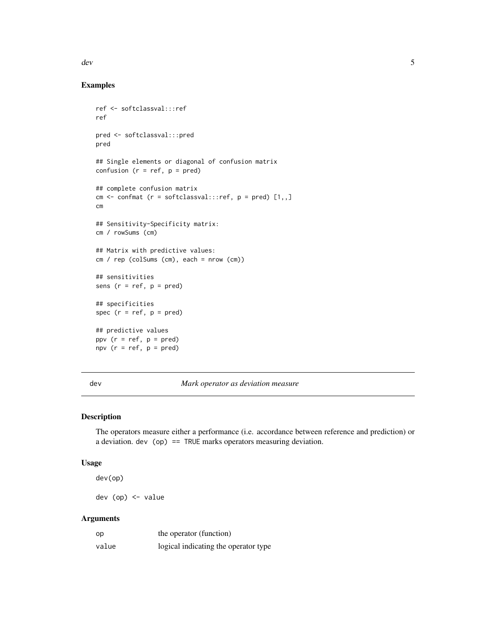<span id="page-4-0"></span>dev 5

# Examples

```
ref <- softclassval:::ref
ref
pred <- softclassval:::pred
pred
## Single elements or diagonal of confusion matrix
confusion (r = ref, p = pred)
## complete confusion matrix
cm \le - confmat (r = softclassval:::ref, p = pred) [1,,]
cm
## Sensitivity-Specificity matrix:
cm / rowSums (cm)
## Matrix with predictive values:
cm / rep (colSums (cm), each = nrow (cm))
## sensitivities
sens (r = ref, p = pred)## specificities
spec (r = ref, p = pred)## predictive values
ppv (r = ref, p = pred)npv (r = ref, p = pred)
```
<span id="page-4-1"></span>

dev *Mark operator as deviation measure*

#### Description

The operators measure either a performance (i.e. accordance between reference and prediction) or a deviation. dev (op) == TRUE marks operators measuring deviation.

#### Usage

dev(op)

dev (op) <- value

#### Arguments

| op    | the operator (function)              |
|-------|--------------------------------------|
| value | logical indicating the operator type |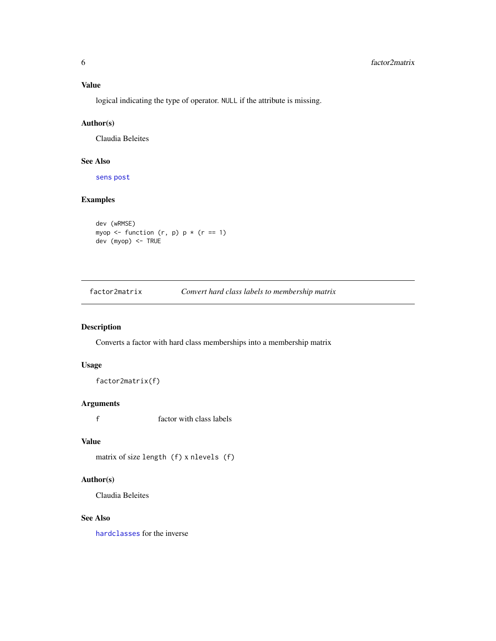# <span id="page-5-0"></span>Value

logical indicating the type of operator. NULL if the attribute is missing.

# Author(s)

Claudia Beleites

# See Also

[sens](#page-2-1) [post](#page-0-0)

# Examples

```
dev (wRMSE)
myop \le function (r, p) p * (r == 1)dev (myop) <- TRUE
```
<span id="page-5-1"></span>factor2matrix *Convert hard class labels to membership matrix*

# Description

Converts a factor with hard class memberships into a membership matrix

#### Usage

factor2matrix(f)

#### Arguments

f factor with class labels

# Value

matrix of size length (f) x nlevels (f)

# Author(s)

Claudia Beleites

# See Also

[hardclasses](#page-7-1) for the inverse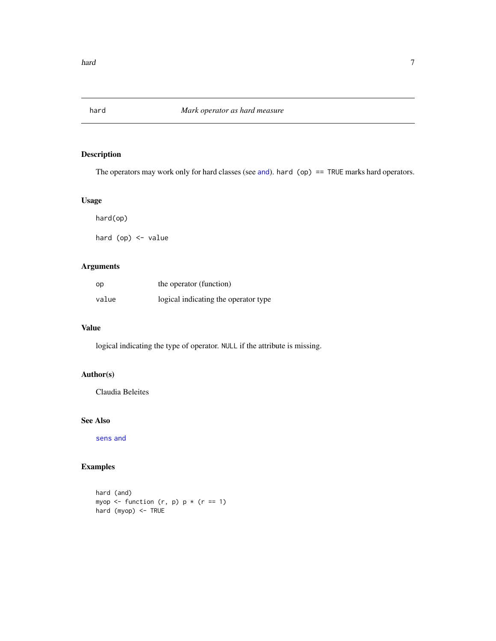<span id="page-6-1"></span><span id="page-6-0"></span>

# Description

The operators may work only for hard classes (see [and](#page-10-1)). hard (op) == TRUE marks hard operators.

#### Usage

hard(op)

hard (op) <- value

# Arguments

| op    | the operator (function)              |
|-------|--------------------------------------|
| value | logical indicating the operator type |

# Value

logical indicating the type of operator. NULL if the attribute is missing.

# Author(s)

Claudia Beleites

#### See Also

[sens](#page-2-1) [and](#page-10-1)

# Examples

hard (and) myop  $\leq$  function  $(r, p)$  p  $\star$   $(r == 1)$ hard (myop) <- TRUE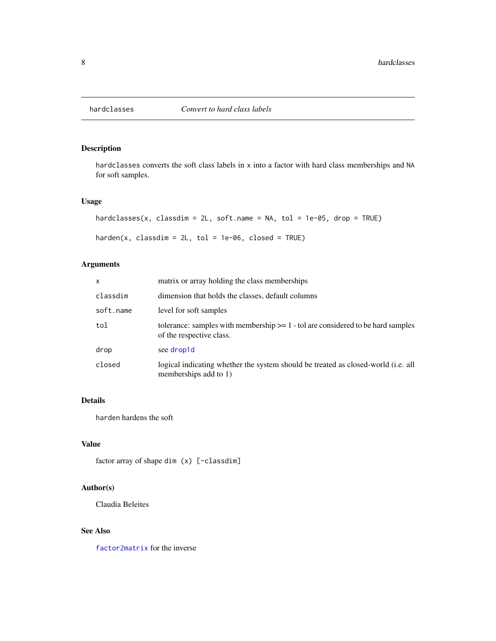<span id="page-7-1"></span><span id="page-7-0"></span>

# Description

hardclasses converts the soft class labels in x into a factor with hard class memberships and NA for soft samples.

### Usage

```
hardclasses(x, classdim = 2L, soft.name = NA, tol = 1e-05, drop = TRUE)
```

```
harden(x, classdim = 2L, tol = 1e-06, closed = TRUE)
```
# Arguments

| x         | matrix or array holding the class memberships                                                                 |
|-----------|---------------------------------------------------------------------------------------------------------------|
| classdim  | dimension that holds the classes, default columns                                                             |
| soft.name | level for soft samples                                                                                        |
| tol       | tolerance: samples with membership $>= 1$ - tol are considered to be hard samples<br>of the respective class. |
| drop      | see drop1d                                                                                                    |
| closed    | logical indicating whether the system should be treated as closed-world (i.e. all<br>memberships add to 1)    |

# Details

harden hardens the soft

#### Value

factor array of shape dim (x) [-classdim]

# Author(s)

Claudia Beleites

# See Also

[factor2matrix](#page-5-1) for the inverse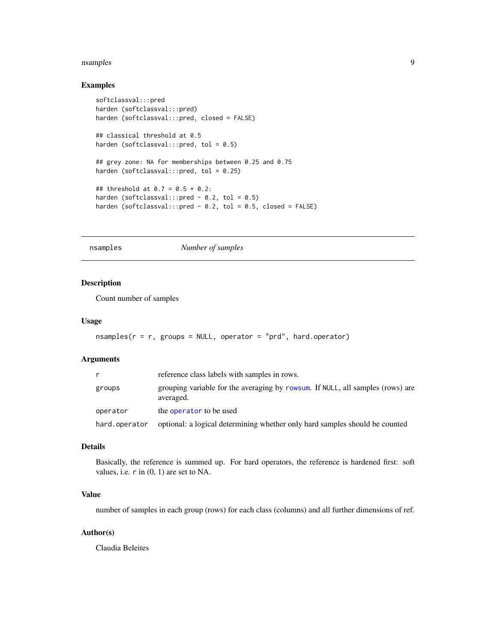#### <span id="page-8-0"></span>nsamples 99

#### Examples

```
softclassval:::pred
harden (softclassval:::pred)
harden (softclassval:::pred, closed = FALSE)
## classical threshold at 0.5
harden (softclassval:::pred, tol = 0.5)
## grey zone: NA for memberships between 0.25 and 0.75
harden (softclassval:::pred, tol = 0.25)
## threshold at 0.7 = 0.5 + 0.2:
harden (softclassval:::pred - 0.2, tol = 0.5)
harden (softclassval:::pred - 0.2, tol = 0.5, closed = FALSE)
```
<span id="page-8-1"></span>nsamples *Number of samples*

# Description

Count number of samples

#### Usage

```
nsamples(r = r, groups = NULL, operator = "prd", hard.openator)
```
#### Arguments

| r             | reference class labels with samples in rows.                                                |
|---------------|---------------------------------------------------------------------------------------------|
| groups        | grouping variable for the averaging by rowsum. If NULL, all samples (rows) are<br>averaged. |
| operator      | the operator to be used                                                                     |
| hard.operator | optional: a logical determining whether only hard samples should be counted                 |

#### Details

Basically, the reference is summed up. For hard operators, the reference is hardened first: soft values, i.e. r in (0, 1) are set to NA.

#### Value

number of samples in each group (rows) for each class (columns) and all further dimensions of ref.

#### Author(s)

Claudia Beleites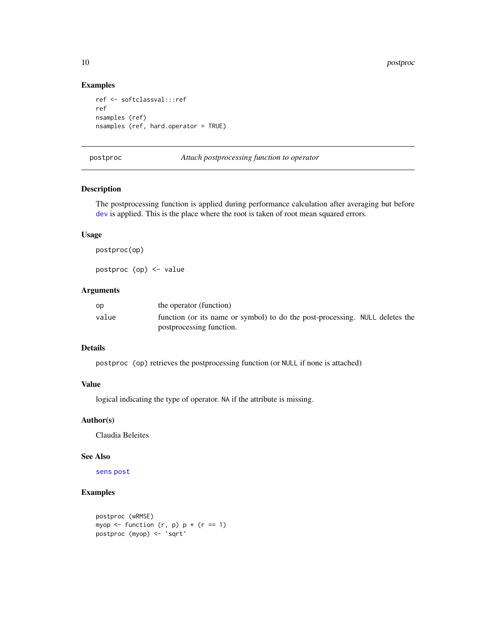#### Examples

```
ref <- softclassval:::ref
ref
nsamples (ref)
nsamples (ref, hard.operator = TRUE)
```
<span id="page-9-1"></span>postproc *Attach postprocessing function to operator*

# Description

The postprocessing function is applied during performance calculation after averaging but before [dev](#page-4-1) is applied. This is the place where the root is taken of root mean squared errors.

### Usage

postproc(op)

postproc (op) <- value

# Arguments

| op    | the operator (function)                                                      |  |
|-------|------------------------------------------------------------------------------|--|
| value | function (or its name or symbol) to do the post-processing. NULL deletes the |  |
|       | postprocessing function.                                                     |  |

#### Details

postproc (op) retrieves the postprocessing function (or NULL if none is attached)

# Value

logical indicating the type of operator. NA if the attribute is missing.

#### Author(s)

Claudia Beleites

#### See Also

[sens](#page-2-1) [post](#page-0-0)

#### Examples

```
postproc (wRMSE)
myop \le function (r, p) p * (r == 1)postproc (myop) <- `sqrt`
```
<span id="page-9-0"></span>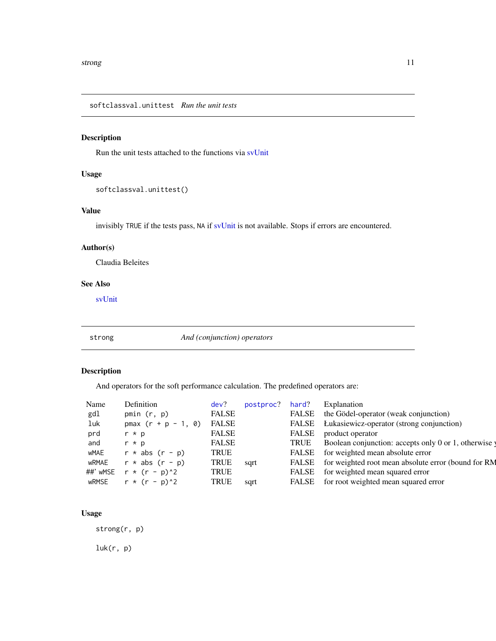<span id="page-10-0"></span>softclassval.unittest *Run the unit tests*

# Description

Run the unit tests attached to the functions via [svUnit](#page-0-0)

# Usage

softclassval.unittest()

# Value

invisibly TRUE if the tests pass, NA if [svUnit](#page-0-0) is not available. Stops if errors are encountered.

### Author(s)

Claudia Beleites

#### See Also

[svUnit](#page-0-0)

strong *And (conjunction) operators*

# <span id="page-10-1"></span>Description

And operators for the soft performance calculation. The predefined operators are:

| Name     | Definition            | dev?         | postproc? | hard?        | Explanation                                         |
|----------|-----------------------|--------------|-----------|--------------|-----------------------------------------------------|
| gdl      | pmin $(r, p)$         | <b>FALSE</b> |           | <b>FALSE</b> | the Gödel-operator (weak conjunction)               |
| luk      | $pmax (r + p - 1, 0)$ | <b>FALSE</b> |           | FALSE        | Łukasiewicz-operator (strong conjunction)           |
| prd      | $r * p$               | <b>FALSE</b> |           | FALSE        | product operator                                    |
| and      | $r * p$               | <b>FALSE</b> |           | <b>TRUE</b>  | Boolean conjunction: accepts only 0 or 1, otherwise |
| wMAE     | $r * abs (r - p)$     | <b>TRUE</b>  |           | FALSE        | for weighted mean absolute error                    |
| wRMAE    | $r * abs (r - p)$     | <b>TRUE</b>  | sqrt      | FALSE        | for weighted root mean absolute error (bound for RM |
| ##' wMSE | $r * (r - p)^2$       | <b>TRUE</b>  |           | FALSE        | for weighted mean squared error                     |
| wRMSE    | $r * (r - p)^2$       | <b>TRUE</b>  | sqrt      | FALSE        | for root weighted mean squared error                |
|          |                       |              |           |              |                                                     |

# Usage

strong(r, p)

 $luk(r, p)$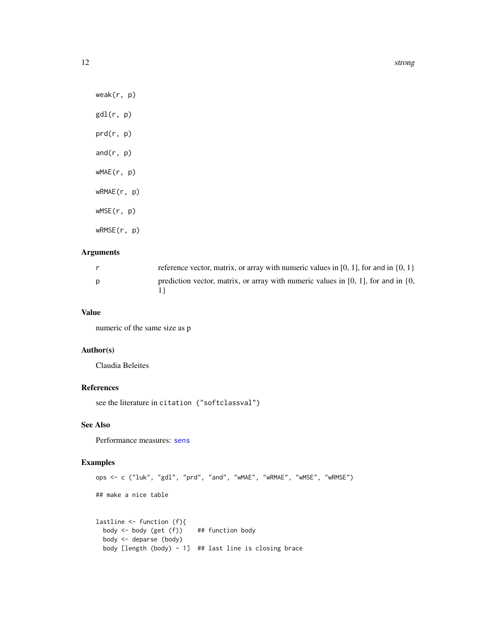<span id="page-11-0"></span>12 strong strong strong strong strong strong strong strong strong strong strong strong strong strong strong strong strong strong strong strong strong strong strong strong strong strong strong strong strong strong strong st

weak(r, p)  $gdl(r, p)$ prd(r, p) and $(r, p)$ wMAE(r, p) wRMAE(r, p) wMSE(r, p) wRMSE(r, p)

# Arguments

| reference vector, matrix, or array with numeric values in [0, 1], for and in $\{0, 1\}$     |
|---------------------------------------------------------------------------------------------|
| prediction vector, matrix, or array with numeric values in $[0, 1]$ , for and in $\{0, 1\}$ |

# Value

numeric of the same size as p

# Author(s)

Claudia Beleites

# References

see the literature in citation ("softclassval")

# See Also

Performance measures: [sens](#page-2-1)

# Examples

```
ops <- c ("luk", "gdl", "prd", "and", "wMAE", "wRMAE", "wMSE", "wRMSE")
## make a nice table
lastline <- function (f){
 body <- body (get (f)) ## function body
 body <- deparse (body)
 body [length (body) - 1] ## last line is closing brace
```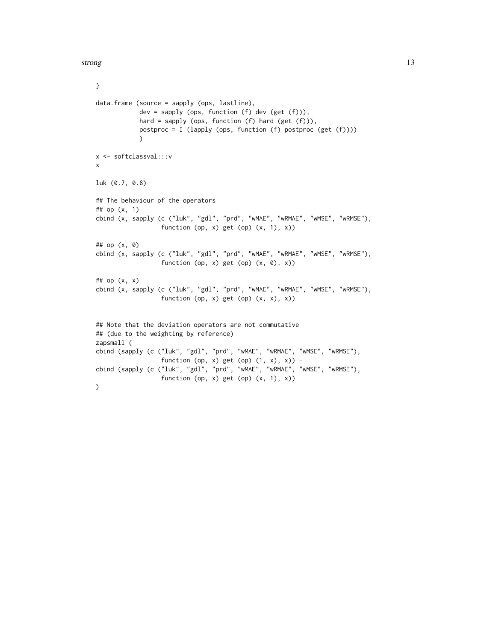strong the strong strong strong strong strong strong strong strong strong strong strong strong strong strong strong strong strong strong strong strong strong strong strong strong strong strong strong strong strong strong s

```
}
data.frame (source = sapply (ops, lastline),
           dev = sapply (ops, function (f) dev (get (f))),
            hard = sapply (ops, function (f) hard (get (f))),
            postproc = I (lapply (ops, function (f) postproc (get (f))))
            )
x <- softclassval:::v
x
luk (0.7, 0.8)
## The behaviour of the operators
## op (x, 1)
cbind (x, sapply (c ("luk", "gdl", "prd", "wMAE", "wRMAE", "wMSE", "wRMSE"),
                  function (op, x) get (op) (x, 1), x))
## op (x, 0)
cbind (x, sapply (c ("luk", "gdl", "prd", "wMAE", "wRMAE", "wMSE", "wRMSE"),
                  function (op, x) get (op) (x, 0), x))
## op (x, x)
cbind (x, sapply (c ("luk", "gdl", "prd", "wMAE", "wRMAE", "wMSE", "wRMSE"),
                  function (op, x) get (op) (x, x), x))
## Note that the deviation operators are not commutative
## (due to the weighting by reference)
zapsmall (
cbind (sapply (c ("luk", "gdl", "prd", "wMAE", "wRMAE", "wMSE", "wRMSE"),
                  function (op, x) get (op) (1, x), x)) -
cbind (sapply (c ("luk", "gdl", "prd", "wMAE", "wRMAE", "wMSE", "wRMSE"),
                  function (op, x) get (op) (x, 1), x))
\lambda
```